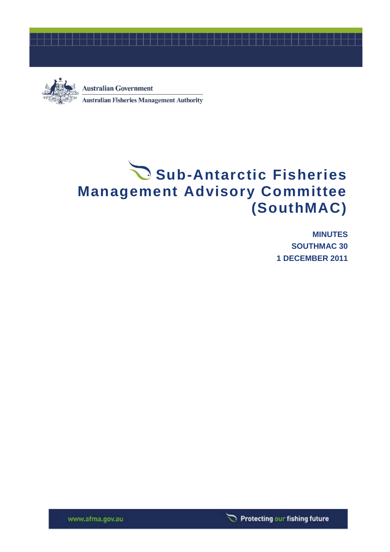



**Australian Government Australian Fisheries Management Authority** 

# Sub-Antarctic Fisheries **Management Advisory Committee (SouthMAC)**

**MINUTES SOUTHMAC 30 1 DECEMBER 2011**

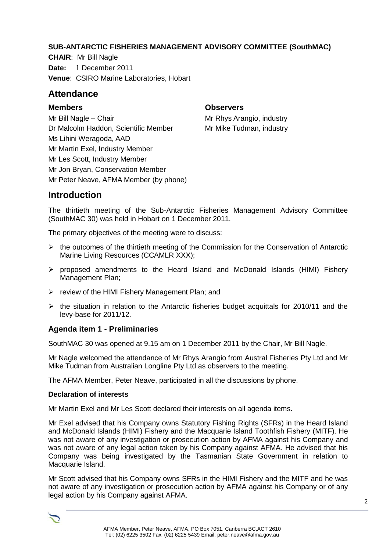#### **SUB-ANTARCTIC FISHERIES MANAGEMENT ADVISORY COMMITTEE (SouthMAC)**

**CHAIR**: Mr Bill Nagle **Date:** 1 December 2011 **Venue**: CSIRO Marine Laboratories, Hobart

## **Attendance**

#### **Members**

#### **Observers**

Mr Rhys Arangio, industry Mr Mike Tudman, industry

Mr Bill Nagle – Chair Dr Malcolm Haddon, Scientific Member Ms Lihini Weragoda, AAD Mr Martin Exel, Industry Member Mr Les Scott, Industry Member Mr Jon Bryan, Conservation Member Mr Peter Neave, AFMA Member (by phone)

## **Introduction**

The thirtieth meeting of the Sub-Antarctic Fisheries Management Advisory Committee (SouthMAC 30) was held in Hobart on 1 December 2011.

The primary objectives of the meeting were to discuss:

- $\triangleright$  the outcomes of the thirtieth meeting of the Commission for the Conservation of Antarctic Marine Living Resources (CCAMLR XXX);
- proposed amendments to the Heard Island and McDonald Islands (HIMI) Fishery Management Plan;
- $\triangleright$  review of the HIMI Fishery Management Plan; and
- $\triangleright$  the situation in relation to the Antarctic fisheries budget acquittals for 2010/11 and the levy-base for 2011/12.

### **Agenda item 1 - Preliminaries**

SouthMAC 30 was opened at 9.15 am on 1 December 2011 by the Chair, Mr Bill Nagle.

Mr Nagle welcomed the attendance of Mr Rhys Arangio from Austral Fisheries Pty Ltd and Mr Mike Tudman from Australian Longline Pty Ltd as observers to the meeting.

The AFMA Member, Peter Neave, participated in all the discussions by phone.

#### **Declaration of interests**

Mr Martin Exel and Mr Les Scott declared their interests on all agenda items.

Mr Exel advised that his Company owns Statutory Fishing Rights (SFRs) in the Heard Island and McDonald Islands (HIMI) Fishery and the Macquarie Island Toothfish Fishery (MITF). He was not aware of any investigation or prosecution action by AFMA against his Company and was not aware of any legal action taken by his Company against AFMA. He advised that his Company was being investigated by the Tasmanian State Government in relation to Macquarie Island.

Mr Scott advised that his Company owns SFRs in the HIMI Fishery and the MITF and he was not aware of any investigation or prosecution action by AFMA against his Company or of any legal action by his Company against AFMA.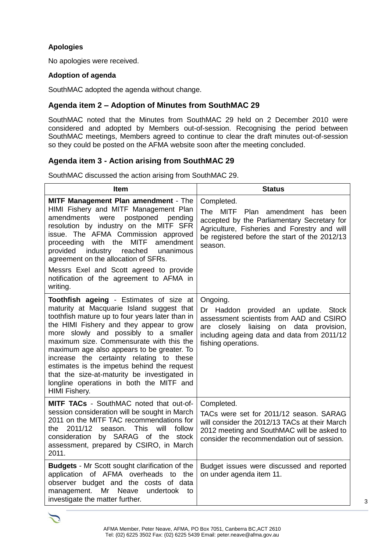#### **Apologies**

No apologies were received.

#### **Adoption of agenda**

SouthMAC adopted the agenda without change.

#### **Agenda item 2 – Adoption of Minutes from SouthMAC 29**

SouthMAC noted that the Minutes from SouthMAC 29 held on 2 December 2010 were considered and adopted by Members out-of-session. Recognising the period between SouthMAC meetings, Members agreed to continue to clear the draft minutes out-of-session so they could be posted on the AFMA website soon after the meeting concluded.

#### **Agenda item 3 - Action arising from SouthMAC 29**

SouthMAC discussed the action arising from SouthMAC 29.

| <b>Item</b>                                                                                                                                                                                                                                                                                                                                                                                                                                                                                                                           | <b>Status</b>                                                                                                                                                                                                             |
|---------------------------------------------------------------------------------------------------------------------------------------------------------------------------------------------------------------------------------------------------------------------------------------------------------------------------------------------------------------------------------------------------------------------------------------------------------------------------------------------------------------------------------------|---------------------------------------------------------------------------------------------------------------------------------------------------------------------------------------------------------------------------|
| MITF Management Plan amendment - The<br>HIMI Fishery and MITF Management Plan<br>amendments<br>postponed<br>were<br>pending<br>resolution by industry on the MITF SFR<br>issue. The AFMA Commission approved<br><b>MITF</b><br>amendment<br>proceeding<br>with the<br>provided<br>industry<br>reached<br>unanimous<br>agreement on the allocation of SFRs.<br>Messrs Exel and Scott agreed to provide<br>notification of the agreement to AFMA in<br>writing.                                                                         | Completed.<br><b>MITF</b><br>The<br>Plan amendment has<br>been<br>accepted by the Parliamentary Secretary for<br>Agriculture, Fisheries and Forestry and will<br>be registered before the start of the 2012/13<br>season. |
| Toothfish ageing - Estimates of size at<br>maturity at Macquarie Island suggest that<br>toothfish mature up to four years later than in<br>the HIMI Fishery and they appear to grow<br>more slowly and possibly to a smaller<br>maximum size. Commensurate with this the<br>maximum age also appears to be greater. To<br>increase the certainty relating to these<br>estimates is the impetus behind the request<br>that the size-at-maturity be investigated in<br>longline operations in both the MITF and<br><b>HIMI Fishery.</b> | Ongoing.<br>Dr Haddon provided an update. Stock<br>assessment scientists from AAD and CSIRO<br>closely liaising<br>data provision,<br>are<br>on<br>including ageing data and data from 2011/12<br>fishing operations.     |
| MITF TACs - SouthMAC noted that out-of-<br>session consideration will be sought in March<br>2011 on the MITF TAC recommendations for<br>2011/12<br>season. This<br>will<br>follow<br>the.<br>consideration by SARAG of the<br>stock<br>assessment, prepared by CSIRO, in March<br>2011.                                                                                                                                                                                                                                               | Completed.<br>TACs were set for 2011/12 season. SARAG<br>will consider the 2012/13 TACs at their March<br>2012 meeting and SouthMAC will be asked to<br>consider the recommendation out of session.                       |
| <b>Budgets</b> - Mr Scott sought clarification of the<br>application of AFMA overheads<br>to the<br>observer budget and the costs of data<br>management. Mr Neave<br>undertook<br>to<br>investigate the matter further.                                                                                                                                                                                                                                                                                                               | Budget issues were discussed and reported<br>on under agenda item 11.                                                                                                                                                     |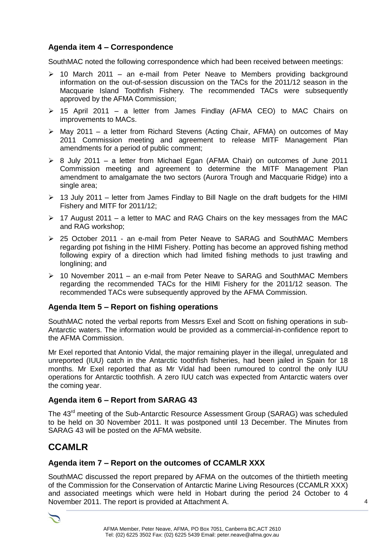## **Agenda item 4 – Correspondence**

SouthMAC noted the following correspondence which had been received between meetings:

- $\geq$  10 March 2011 an e-mail from Peter Neave to Members providing background information on the out-of-session discussion on the TACs for the 2011/12 season in the Macquarie Island Toothfish Fishery. The recommended TACs were subsequently approved by the AFMA Commission;
- 15 April 2011 a letter from James Findlay (AFMA CEO) to MAC Chairs on improvements to MACs.
- May 2011 a letter from Richard Stevens (Acting Chair, AFMA) on outcomes of May 2011 Commission meeting and agreement to release MITF Management Plan amendments for a period of public comment;
- 8 July 2011 a letter from Michael Egan (AFMA Chair) on outcomes of June 2011 Commission meeting and agreement to determine the MITF Management Plan amendment to amalgamate the two sectors (Aurora Trough and Macquarie Ridge) into a single area;
- $\geq$  13 July 2011 letter from James Findlay to Bill Nagle on the draft budgets for the HIMI Fishery and MITF for 2011/12;
- $\geq$  17 August 2011 a letter to MAC and RAG Chairs on the key messages from the MAC and RAG workshop;
- 25 October 2011 an e-mail from Peter Neave to SARAG and SouthMAC Members regarding pot fishing in the HIMI Fishery. Potting has become an approved fishing method following expiry of a direction which had limited fishing methods to just trawling and longlining; and
- 10 November 2011 an e-mail from Peter Neave to SARAG and SouthMAC Members regarding the recommended TACs for the HIMI Fishery for the 2011/12 season. The recommended TACs were subsequently approved by the AFMA Commission.

### **Agenda Item 5 – Report on fishing operations**

SouthMAC noted the verbal reports from Messrs Exel and Scott on fishing operations in sub-Antarctic waters. The information would be provided as a commercial-in-confidence report to the AFMA Commission.

Mr Exel reported that Antonio Vidal, the major remaining player in the illegal, unregulated and unreported (IUU) catch in the Antarctic toothfish fisheries, had been jailed in Spain for 18 months. Mr Exel reported that as Mr Vidal had been rumoured to control the only IUU operations for Antarctic toothfish. A zero IUU catch was expected from Antarctic waters over the coming year.

#### **Agenda item 6 – Report from SARAG 43**

The 43<sup>rd</sup> meeting of the Sub-Antarctic Resource Assessment Group (SARAG) was scheduled to be held on 30 November 2011. It was postponed until 13 December. The Minutes from SARAG 43 will be posted on the AFMA website.

## **CCAMLR**

### **Agenda item 7 – Report on the outcomes of CCAMLR XXX**

SouthMAC discussed the report prepared by AFMA on the outcomes of the thirtieth meeting of the Commission for the Conservation of Antarctic Marine Living Resources (CCAMLR XXX) and associated meetings which were held in Hobart during the period 24 October to 4 November 2011. The report is provided at Attachment A.

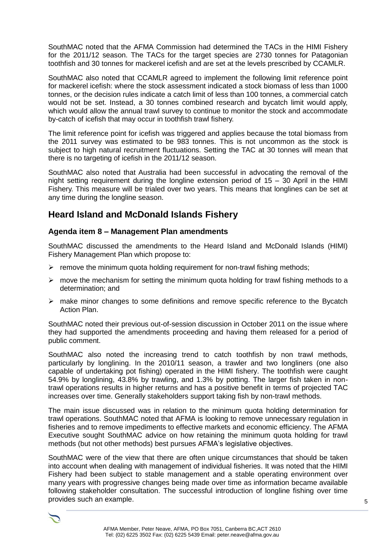SouthMAC noted that the AFMA Commission had determined the TACs in the HIMI Fishery for the 2011/12 season. The TACs for the target species are 2730 tonnes for Patagonian toothfish and 30 tonnes for mackerel icefish and are set at the levels prescribed by CCAMLR.

SouthMAC also noted that CCAMLR agreed to implement the following limit reference point for mackerel icefish: where the stock assessment indicated a stock biomass of less than 1000 tonnes, or the decision rules indicate a catch limit of less than 100 tonnes, a commercial catch would not be set. Instead, a 30 tonnes combined research and bycatch limit would apply, which would allow the annual trawl survey to continue to monitor the stock and accommodate by-catch of icefish that may occur in toothfish trawl fishery.

The limit reference point for icefish was triggered and applies because the total biomass from the 2011 survey was estimated to be 983 tonnes. This is not uncommon as the stock is subject to high natural recruitment fluctuations. Setting the TAC at 30 tonnes will mean that there is no targeting of icefish in the 2011/12 season.

SouthMAC also noted that Australia had been successful in advocating the removal of the night setting requirement during the longline extension period of 15 – 30 April in the HIMI Fishery. This measure will be trialed over two years. This means that longlines can be set at any time during the longline season.

## **Heard Island and McDonald Islands Fishery**

#### **Agenda item 8 – Management Plan amendments**

SouthMAC discussed the amendments to the Heard Island and McDonald Islands (HIMI) Fishery Management Plan which propose to:

- $\triangleright$  remove the minimum quota holding requirement for non-trawl fishing methods;
- $\triangleright$  move the mechanism for setting the minimum quota holding for trawl fishing methods to a determination; and
- $\triangleright$  make minor changes to some definitions and remove specific reference to the Bycatch Action Plan.

SouthMAC noted their previous out-of-session discussion in October 2011 on the issue where they had supported the amendments proceeding and having them released for a period of public comment.

SouthMAC also noted the increasing trend to catch toothfish by non trawl methods, particularly by longlining. In the 2010/11 season, a trawler and two longliners (one also capable of undertaking pot fishing) operated in the HIMI fishery. The toothfish were caught 54.9% by longlining, 43.8% by trawling, and 1.3% by potting. The larger fish taken in nontrawl operations results in higher returns and has a positive benefit in terms of projected TAC increases over time. Generally stakeholders support taking fish by non-trawl methods.

The main issue discussed was in relation to the minimum quota holding determination for trawl operations. SouthMAC noted that AFMA is looking to remove unnecessary regulation in fisheries and to remove impediments to effective markets and economic efficiency. The AFMA Executive sought SouthMAC advice on how retaining the minimum quota holding for trawl methods (but not other methods) best pursues AFMA's legislative objectives.

SouthMAC were of the view that there are often unique circumstances that should be taken into account when dealing with management of individual fisheries. It was noted that the HIMI Fishery had been subject to stable management and a stable operating environment over many years with progressive changes being made over time as information became available following stakeholder consultation. The successful introduction of longline fishing over time provides such an example.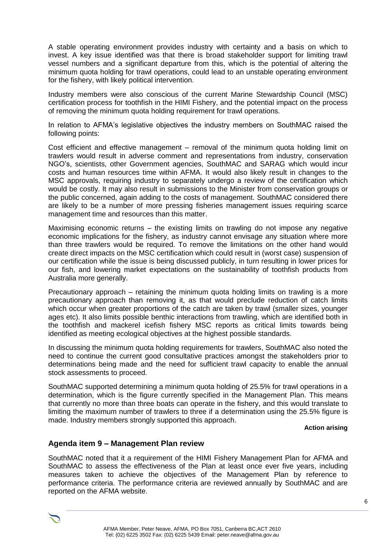A stable operating environment provides industry with certainty and a basis on which to invest. A key issue identified was that there is broad stakeholder support for limiting trawl vessel numbers and a significant departure from this, which is the potential of altering the minimum quota holding for trawl operations, could lead to an unstable operating environment for the fishery, with likely political intervention.

Industry members were also conscious of the current Marine Stewardship Council (MSC) certification process for toothfish in the HIMI Fishery, and the potential impact on the process of removing the minimum quota holding requirement for trawl operations.

In relation to AFMA's legislative objectives the industry members on SouthMAC raised the following points:

Cost efficient and effective management – removal of the minimum quota holding limit on trawlers would result in adverse comment and representations from industry, conservation NGO's, scientists, other Government agencies, SouthMAC and SARAG which would incur costs and human resources time within AFMA. It would also likely result in changes to the MSC approvals, requiring industry to separately undergo a review of the certification which would be costly. It may also result in submissions to the Minister from conservation groups or the public concerned, again adding to the costs of management. SouthMAC considered there are likely to be a number of more pressing fisheries management issues requiring scarce management time and resources than this matter.

Maximising economic returns – the existing limits on trawling do not impose any negative economic implications for the fishery, as industry cannot envisage any situation where more than three trawlers would be required. To remove the limitations on the other hand would create direct impacts on the MSC certification which could result in (worst case) suspension of our certification while the issue is being discussed publicly, in turn resulting in lower prices for our fish, and lowering market expectations on the sustainability of toothfish products from Australia more generally.

Precautionary approach – retaining the minimum quota holding limits on trawling is a more precautionary approach than removing it, as that would preclude reduction of catch limits which occur when greater proportions of the catch are taken by trawl (smaller sizes, younger ages etc). It also limits possible benthic interactions from trawling, which are identified both in the toothfish and mackerel icefish fishery MSC reports as critical limits towards being identified as meeting ecological objectives at the highest possible standards.

In discussing the minimum quota holding requirements for trawlers, SouthMAC also noted the need to continue the current good consultative practices amongst the stakeholders prior to determinations being made and the need for sufficient trawl capacity to enable the annual stock assessments to proceed.

SouthMAC supported determining a minimum quota holding of 25.5% for trawl operations in a determination, which is the figure currently specified in the Management Plan. This means that currently no more than three boats can operate in the fishery, and this would translate to limiting the maximum number of trawlers to three if a determination using the 25.5% figure is made. Industry members strongly supported this approach.

**Action arising**

#### **Agenda item 9 – Management Plan review**

SouthMAC noted that it a requirement of the HIMI Fishery Management Plan for AFMA and SouthMAC to assess the effectiveness of the Plan at least once ever five years, including measures taken to achieve the objectives of the Management Plan by reference to performance criteria. The performance criteria are reviewed annually by SouthMAC and are reported on the AFMA website.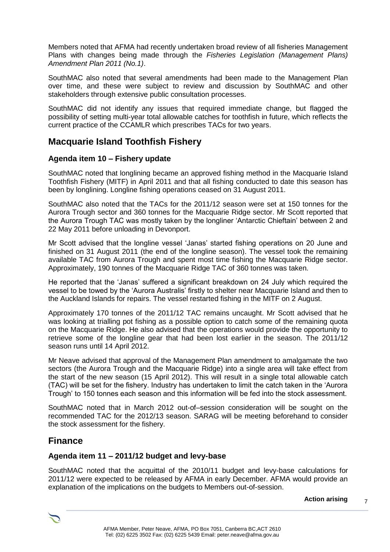Members noted that AFMA had recently undertaken broad review of all fisheries Management Plans with changes being made through the *Fisheries Legislation (Management Plans) Amendment Plan 2011 (No.1)*.

SouthMAC also noted that several amendments had been made to the Management Plan over time, and these were subject to review and discussion by SouthMAC and other stakeholders through extensive public consultation processes.

SouthMAC did not identify any issues that required immediate change, but flagged the possibility of setting multi-year total allowable catches for toothfish in future, which reflects the current practice of the CCAMLR which prescribes TACs for two years.

## **Macquarie Island Toothfish Fishery**

#### **Agenda item 10 – Fishery update**

SouthMAC noted that longlining became an approved fishing method in the Macquarie Island Toothfish Fishery (MITF) in April 2011 and that all fishing conducted to date this season has been by longlining. Longline fishing operations ceased on 31 August 2011.

SouthMAC also noted that the TACs for the 2011/12 season were set at 150 tonnes for the Aurora Trough sector and 360 tonnes for the Macquarie Ridge sector. Mr Scott reported that the Aurora Trough TAC was mostly taken by the longliner 'Antarctic Chieftain' between 2 and 22 May 2011 before unloading in Devonport.

Mr Scott advised that the longline vessel 'Janas' started fishing operations on 20 June and finished on 31 August 2011 (the end of the longline season). The vessel took the remaining available TAC from Aurora Trough and spent most time fishing the Macquarie Ridge sector. Approximately, 190 tonnes of the Macquarie Ridge TAC of 360 tonnes was taken.

He reported that the 'Janas' suffered a significant breakdown on 24 July which required the vessel to be towed by the 'Aurora Australis' firstly to shelter near Macquarie Island and then to the Auckland Islands for repairs. The vessel restarted fishing in the MITF on 2 August.

Approximately 170 tonnes of the 2011/12 TAC remains uncaught. Mr Scott advised that he was looking at trialling pot fishing as a possible option to catch some of the remaining quota on the Macquarie Ridge. He also advised that the operations would provide the opportunity to retrieve some of the longline gear that had been lost earlier in the season. The 2011/12 season runs until 14 April 2012.

Mr Neave advised that approval of the Management Plan amendment to amalgamate the two sectors (the Aurora Trough and the Macquarie Ridge) into a single area will take effect from the start of the new season (15 April 2012). This will result in a single total allowable catch (TAC) will be set for the fishery. Industry has undertaken to limit the catch taken in the 'Aurora Trough' to 150 tonnes each season and this information will be fed into the stock assessment.

SouthMAC noted that in March 2012 out-of–session consideration will be sought on the recommended TAC for the 2012/13 season. SARAG will be meeting beforehand to consider the stock assessment for the fishery.

## **Finance**

#### **Agenda item 11 – 2011/12 budget and levy-base**

SouthMAC noted that the acquittal of the 2010/11 budget and levy-base calculations for 2011/12 were expected to be released by AFMA in early December. AFMA would provide an explanation of the implications on the budgets to Members out-of-session.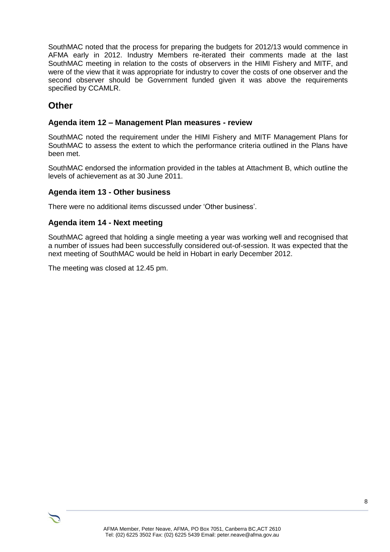SouthMAC noted that the process for preparing the budgets for 2012/13 would commence in AFMA early in 2012. Industry Members re-iterated their comments made at the last SouthMAC meeting in relation to the costs of observers in the HIMI Fishery and MITF, and were of the view that it was appropriate for industry to cover the costs of one observer and the second observer should be Government funded given it was above the requirements specified by CCAMLR.

## **Other**

#### **Agenda item 12 – Management Plan measures - review**

SouthMAC noted the requirement under the HIMI Fishery and MITF Management Plans for SouthMAC to assess the extent to which the performance criteria outlined in the Plans have been met.

SouthMAC endorsed the information provided in the tables at Attachment B, which outline the levels of achievement as at 30 June 2011.

#### **Agenda item 13 - Other business**

There were no additional items discussed under 'Other business'.

#### **Agenda item 14 - Next meeting**

SouthMAC agreed that holding a single meeting a year was working well and recognised that a number of issues had been successfully considered out-of-session. It was expected that the next meeting of SouthMAC would be held in Hobart in early December 2012.

The meeting was closed at 12.45 pm.

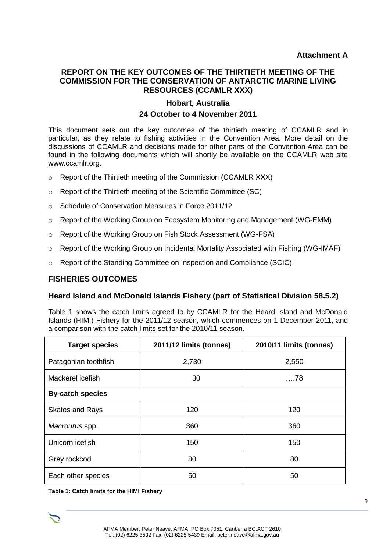#### **REPORT ON THE KEY OUTCOMES OF THE THIRTIETH MEETING OF THE COMMISSION FOR THE CONSERVATION OF ANTARCTIC MARINE LIVING RESOURCES (CCAMLR XXX)**

## **Hobart, Australia 24 October to 4 November 2011**

This document sets out the key outcomes of the thirtieth meeting of CCAMLR and in particular, as they relate to fishing activities in the Convention Area. More detail on the discussions of CCAMLR and decisions made for other parts of the Convention Area can be found in the following documents which will shortly be available on the CCAMLR web site www.ccamlr.org.

- o Report of the Thirtieth meeting of the Commission (CCAMLR XXX)
- o Report of the Thirtieth meeting of the Scientific Committee (SC)
- o Schedule of Conservation Measures in Force 2011/12
- $\circ$  Report of the Working Group on Ecosystem Monitoring and Management (WG-EMM)
- o Report of the Working Group on Fish Stock Assessment (WG-FSA)
- $\circ$  Report of the Working Group on Incidental Mortality Associated with Fishing (WG-IMAF)
- o Report of the Standing Committee on Inspection and Compliance (SCIC)

#### **FISHERIES OUTCOMES**

#### **Heard Island and McDonald Islands Fishery (part of Statistical Division 58.5.2)**

Table 1 shows the catch limits agreed to by CCAMLR for the Heard Island and McDonald Islands (HIMI) Fishery for the 2011/12 season, which commences on 1 December 2011, and a comparison with the catch limits set for the 2010/11 season.

| <b>Target species</b>   | 2011/12 limits (tonnes) | 2010/11 limits (tonnes) |
|-------------------------|-------------------------|-------------------------|
| Patagonian toothfish    | 2,730                   | 2,550                   |
| Mackerel icefish        | 30                      | . 78                    |
| <b>By-catch species</b> |                         |                         |
| <b>Skates and Rays</b>  | 120                     | 120                     |
| Macrourus spp.          | 360                     | 360                     |
| Unicorn icefish         | 150                     | 150                     |
| Grey rockcod            | 80                      | 80                      |
| Each other species      | 50                      | 50                      |

**Table 1: Catch limits for the HIMI Fishery**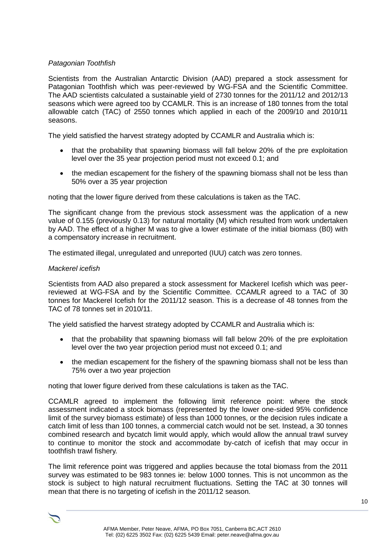#### *Patagonian Toothfish*

Scientists from the Australian Antarctic Division (AAD) prepared a stock assessment for Patagonian Toothfish which was peer-reviewed by WG-FSA and the Scientific Committee. The AAD scientists calculated a sustainable yield of 2730 tonnes for the 2011/12 and 2012/13 seasons which were agreed too by CCAMLR. This is an increase of 180 tonnes from the total allowable catch (TAC) of 2550 tonnes which applied in each of the 2009/10 and 2010/11 seasons.

The yield satisfied the harvest strategy adopted by CCAMLR and Australia which is:

- that the probability that spawning biomass will fall below 20% of the pre exploitation level over the 35 year projection period must not exceed 0.1; and
- the median escapement for the fishery of the spawning biomass shall not be less than 50% over a 35 year projection

noting that the lower figure derived from these calculations is taken as the TAC.

The significant change from the previous stock assessment was the application of a new value of 0.155 (previously 0.13) for natural mortality (M) which resulted from work undertaken by AAD. The effect of a higher M was to give a lower estimate of the initial biomass (B0) with a compensatory increase in recruitment.

The estimated illegal, unregulated and unreported (IUU) catch was zero tonnes.

#### *Mackerel icefish*

Scientists from AAD also prepared a stock assessment for Mackerel Icefish which was peerreviewed at WG-FSA and by the Scientific Committee. CCAMLR agreed to a TAC of 30 tonnes for Mackerel Icefish for the 2011/12 season. This is a decrease of 48 tonnes from the TAC of 78 tonnes set in 2010/11.

The yield satisfied the harvest strategy adopted by CCAMLR and Australia which is:

- that the probability that spawning biomass will fall below 20% of the pre exploitation level over the two year projection period must not exceed 0.1; and
- the median escapement for the fishery of the spawning biomass shall not be less than 75% over a two year projection

noting that lower figure derived from these calculations is taken as the TAC.

CCAMLR agreed to implement the following limit reference point: where the stock assessment indicated a stock biomass (represented by the lower one-sided 95% confidence limit of the survey biomass estimate) of less than 1000 tonnes, or the decision rules indicate a catch limit of less than 100 tonnes, a commercial catch would not be set. Instead, a 30 tonnes combined research and bycatch limit would apply, which would allow the annual trawl survey to continue to monitor the stock and accommodate by-catch of icefish that may occur in toothfish trawl fishery.

The limit reference point was triggered and applies because the total biomass from the 2011 survey was estimated to be 983 tonnes ie: below 1000 tonnes. This is not uncommon as the stock is subject to high natural recruitment fluctuations. Setting the TAC at 30 tonnes will mean that there is no targeting of icefish in the 2011/12 season.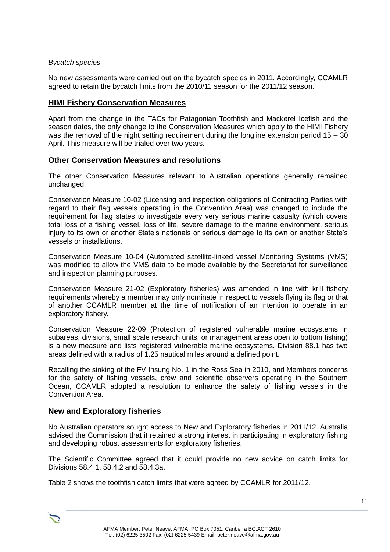#### *Bycatch species*

No new assessments were carried out on the bycatch species in 2011. Accordingly, CCAMLR agreed to retain the bycatch limits from the 2010/11 season for the 2011/12 season.

#### **HIMI Fishery Conservation Measures**

Apart from the change in the TACs for Patagonian Toothfish and Mackerel Icefish and the season dates, the only change to the Conservation Measures which apply to the HIMI Fishery was the removal of the night setting requirement during the longline extension period  $15 - 30$ April. This measure will be trialed over two years.

#### **Other Conservation Measures and resolutions**

The other Conservation Measures relevant to Australian operations generally remained unchanged.

Conservation Measure 10-02 (Licensing and inspection obligations of Contracting Parties with regard to their flag vessels operating in the Convention Area) was changed to include the requirement for flag states to investigate every very serious marine casualty (which covers total loss of a fishing vessel, loss of life, severe damage to the marine environment, serious injury to its own or another State's nationals or serious damage to its own or another State's vessels or installations.

Conservation Measure 10-04 (Automated satellite-linked vessel Monitoring Systems (VMS) was modified to allow the VMS data to be made available by the Secretariat for surveillance and inspection planning purposes.

Conservation Measure 21-02 (Exploratory fisheries) was amended in line with krill fishery requirements whereby a member may only nominate in respect to vessels flying its flag or that of another CCAMLR member at the time of notification of an intention to operate in an exploratory fishery.

Conservation Measure 22-09 (Protection of registered vulnerable marine ecosystems in subareas, divisions, small scale research units, or management areas open to bottom fishing) is a new measure and lists registered vulnerable marine ecosystems. Division 88.1 has two areas defined with a radius of 1.25 nautical miles around a defined point.

Recalling the sinking of the FV Insung No. 1 in the Ross Sea in 2010, and Members concerns for the safety of fishing vessels, crew and scientific observers operating in the Southern Ocean, CCAMLR adopted a resolution to enhance the safety of fishing vessels in the Convention Area.

#### **New and Exploratory fisheries**

No Australian operators sought access to New and Exploratory fisheries in 2011/12. Australia advised the Commission that it retained a strong interest in participating in exploratory fishing and developing robust assessments for exploratory fisheries.

The Scientific Committee agreed that it could provide no new advice on catch limits for Divisions 58.4.1, 58.4.2 and 58.4.3a.

Table 2 shows the toothfish catch limits that were agreed by CCAMLR for 2011/12.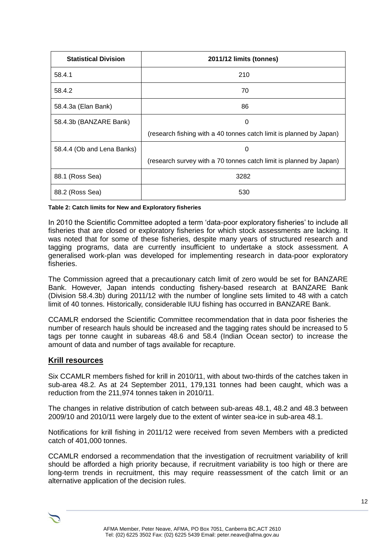| <b>Statistical Division</b> | 2011/12 limits (tonnes)                                             |
|-----------------------------|---------------------------------------------------------------------|
| 58.4.1                      | 210                                                                 |
| 58.4.2                      | 70                                                                  |
| 58.4.3a (Elan Bank)         | 86                                                                  |
| 58.4.3b (BANZARE Bank)      | 0                                                                   |
|                             | (research fishing with a 40 tonnes catch limit is planned by Japan) |
| 58.4.4 (Ob and Lena Banks)  | 0                                                                   |
|                             | (research survey with a 70 tonnes catch limit is planned by Japan)  |
| 88.1 (Ross Sea)             | 3282                                                                |
| 88.2 (Ross Sea)             | 530                                                                 |

**Table 2: Catch limits for New and Exploratory fisheries**

In 2010 the Scientific Committee adopted a term 'data-poor exploratory fisheries' to include all fisheries that are closed or exploratory fisheries for which stock assessments are lacking. It was noted that for some of these fisheries, despite many years of structured research and tagging programs, data are currently insufficient to undertake a stock assessment. A generalised work-plan was developed for implementing research in data-poor exploratory fisheries.

The Commission agreed that a precautionary catch limit of zero would be set for BANZARE Bank. However, Japan intends conducting fishery-based research at BANZARE Bank (Division 58.4.3b) during 2011/12 with the number of longline sets limited to 48 with a catch limit of 40 tonnes. Historically, considerable IUU fishing has occurred in BANZARE Bank.

CCAMLR endorsed the Scientific Committee recommendation that in data poor fisheries the number of research hauls should be increased and the tagging rates should be increased to 5 tags per tonne caught in subareas 48.6 and 58.4 (Indian Ocean sector) to increase the amount of data and number of tags available for recapture.

#### **Krill resources**

Six CCAMLR members fished for krill in 2010/11, with about two-thirds of the catches taken in sub-area 48.2. As at 24 September 2011, 179,131 tonnes had been caught, which was a reduction from the 211,974 tonnes taken in 2010/11.

The changes in relative distribution of catch between sub-areas 48.1, 48.2 and 48.3 between 2009/10 and 2010/11 were largely due to the extent of winter sea-ice in sub-area 48.1.

Notifications for krill fishing in 2011/12 were received from seven Members with a predicted catch of 401,000 tonnes.

CCAMLR endorsed a recommendation that the investigation of recruitment variability of krill should be afforded a high priority because, if recruitment variability is too high or there are long-term trends in recruitment, this may require reassessment of the catch limit or an alternative application of the decision rules.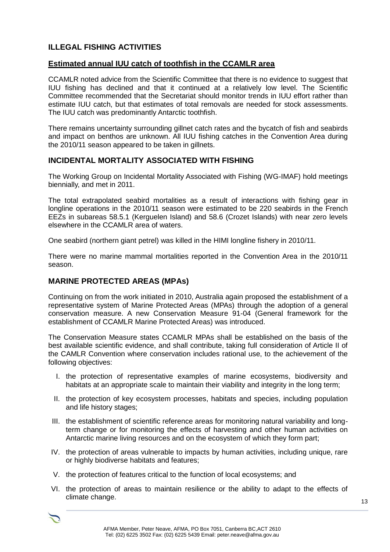## **ILLEGAL FISHING ACTIVITIES**

#### **Estimated annual IUU catch of toothfish in the CCAMLR area**

CCAMLR noted advice from the Scientific Committee that there is no evidence to suggest that IUU fishing has declined and that it continued at a relatively low level. The Scientific Committee recommended that the Secretariat should monitor trends in IUU effort rather than estimate IUU catch, but that estimates of total removals are needed for stock assessments. The IUU catch was predominantly Antarctic toothfish.

There remains uncertainty surrounding gillnet catch rates and the bycatch of fish and seabirds and impact on benthos are unknown. All IUU fishing catches in the Convention Area during the 2010/11 season appeared to be taken in gillnets.

#### **INCIDENTAL MORTALITY ASSOCIATED WITH FISHING**

The Working Group on Incidental Mortality Associated with Fishing (WG-IMAF) hold meetings biennially, and met in 2011.

The total extrapolated seabird mortalities as a result of interactions with fishing gear in longline operations in the 2010/11 season were estimated to be 220 seabirds in the French EEZs in subareas 58.5.1 (Kerguelen Island) and 58.6 (Crozet Islands) with near zero levels elsewhere in the CCAMLR area of waters.

One seabird (northern giant petrel) was killed in the HIMI longline fishery in 2010/11.

There were no marine mammal mortalities reported in the Convention Area in the 2010/11 season.

#### **MARINE PROTECTED AREAS (MPAs)**

Continuing on from the work initiated in 2010, Australia again proposed the establishment of a representative system of Marine Protected Areas (MPAs) through the adoption of a general conservation measure. A new Conservation Measure 91-04 (General framework for the establishment of CCAMLR Marine Protected Areas) was introduced.

The Conservation Measure states CCAMLR MPAs shall be established on the basis of the best available scientific evidence, and shall contribute, taking full consideration of Article II of the CAMLR Convention where conservation includes rational use, to the achievement of the following objectives:

- I. the protection of representative examples of marine ecosystems, biodiversity and habitats at an appropriate scale to maintain their viability and integrity in the long term;
- II. the protection of key ecosystem processes, habitats and species, including population and life history stages;
- III. the establishment of scientific reference areas for monitoring natural variability and longterm change or for monitoring the effects of harvesting and other human activities on Antarctic marine living resources and on the ecosystem of which they form part;
- IV. the protection of areas vulnerable to impacts by human activities, including unique, rare or highly biodiverse habitats and features;
- V. the protection of features critical to the function of local ecosystems; and
- VI. the protection of areas to maintain resilience or the ability to adapt to the effects of climate change.

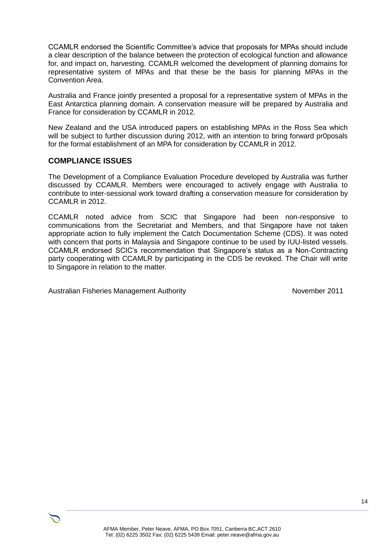CCAMLR endorsed the Scientific Committee's advice that proposals for MPAs should include a clear description of the balance between the protection of ecological function and allowance for, and impact on, harvesting. CCAMLR welcomed the development of planning domains for representative system of MPAs and that these be the basis for planning MPAs in the Convention Area.

Australia and France jointly presented a proposal for a representative system of MPAs in the East Antarctica planning domain. A conservation measure will be prepared by Australia and France for consideration by CCAMLR in 2012.

New Zealand and the USA introduced papers on establishing MPAs in the Ross Sea which will be subject to further discussion during 2012, with an intention to bring forward pr0posals for the formal establishment of an MPA for consideration by CCAMLR in 2012.

#### **COMPLIANCE ISSUES**

The Development of a Compliance Evaluation Procedure developed by Australia was further discussed by CCAMLR. Members were encouraged to actively engage with Australia to contribute to inter-sessional work toward drafting a conservation measure for consideration by CCAMLR in 2012.

CCAMLR noted advice from SCIC that Singapore had been non-responsive to communications from the Secretariat and Members, and that Singapore have not taken appropriate action to fully implement the Catch Documentation Scheme (CDS). It was noted with concern that ports in Malaysia and Singapore continue to be used by IUU-listed vessels. CCAMLR endorsed SCIC's recommendation that Singapore's status as a Non-Contracting party cooperating with CCAMLR by participating in the CDS be revoked. The Chair will write to Singapore in relation to the matter.

Australian Fisheries Management Authority November 2011

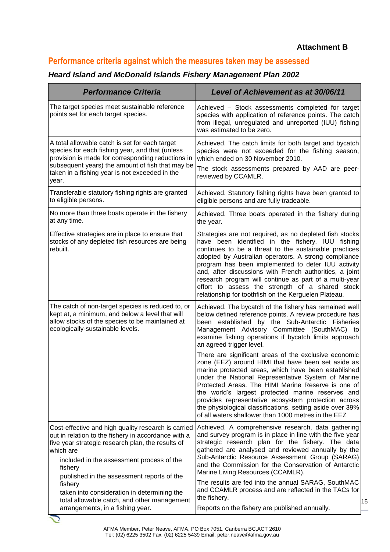#### **Attachment B**

## **Performance criteria against which the measures taken may be assessed**

#### *Heard Island and McDonald Islands Fishery Management Plan 2002*

| <b>Performance Criteria</b>                                                                                                                                                                                                                                                        | <b>Level of Achievement as at 30/06/11</b>                                                                                                                                                                                                                                                                                                                                                                                                                                                                         |
|------------------------------------------------------------------------------------------------------------------------------------------------------------------------------------------------------------------------------------------------------------------------------------|--------------------------------------------------------------------------------------------------------------------------------------------------------------------------------------------------------------------------------------------------------------------------------------------------------------------------------------------------------------------------------------------------------------------------------------------------------------------------------------------------------------------|
| The target species meet sustainable reference<br>points set for each target species.                                                                                                                                                                                               | Achieved - Stock assessments completed for target<br>species with application of reference points. The catch<br>from illegal, unregulated and unreported (IUU) fishing<br>was estimated to be zero.                                                                                                                                                                                                                                                                                                                |
| A total allowable catch is set for each target<br>species for each fishing year, and that (unless<br>provision is made for corresponding reductions in<br>subsequent years) the amount of fish that may be<br>taken in a fishing year is not exceeded in the<br>year.              | Achieved. The catch limits for both target and bycatch<br>species were not exceeded for the fishing season,<br>which ended on 30 November 2010.<br>The stock assessments prepared by AAD are peer-<br>reviewed by CCAMLR.                                                                                                                                                                                                                                                                                          |
| Transferable statutory fishing rights are granted<br>to eligible persons.                                                                                                                                                                                                          | Achieved. Statutory fishing rights have been granted to<br>eligible persons and are fully tradeable.                                                                                                                                                                                                                                                                                                                                                                                                               |
| No more than three boats operate in the fishery<br>at any time.                                                                                                                                                                                                                    | Achieved. Three boats operated in the fishery during<br>the year.                                                                                                                                                                                                                                                                                                                                                                                                                                                  |
| Effective strategies are in place to ensure that<br>stocks of any depleted fish resources are being<br>rebuilt.                                                                                                                                                                    | Strategies are not required, as no depleted fish stocks<br>have been identified in the fishery. IUU fishing<br>continues to be a threat to the sustainable practices<br>adopted by Australian operators. A strong compliance<br>program has been implemented to deter IUU activity<br>and, after discussions with French authorities, a joint<br>research program will continue as part of a multi-year<br>effort to assess the strength of a shared stock<br>relationship for toothfish on the Kerguelen Plateau. |
| The catch of non-target species is reduced to, or<br>kept at, a minimum, and below a level that will<br>allow stocks of the species to be maintained at<br>ecologically-sustainable levels.                                                                                        | Achieved. The bycatch of the fishery has remained well<br>below defined reference points. A review procedure has<br>been established by the Sub-Antarctic Fisheries<br>Management Advisory Committee (SouthMAC) to<br>examine fishing operations if bycatch limits approach<br>an agreed trigger level.                                                                                                                                                                                                            |
|                                                                                                                                                                                                                                                                                    | There are significant areas of the exclusive economic<br>zone (EEZ) around HIMI that have been set aside as<br>marine protected areas, which have been established<br>under the National Representative System of Marine<br>Protected Areas. The HIMI Marine Reserve is one of<br>the world's largest protected marine reserves and<br>provides representative ecosystem protection across<br>the physiological classifications, setting aside over 39%<br>of all waters shallower than 1000 metres in the EEZ     |
| Cost-effective and high quality research is carried<br>out in relation to the fishery in accordance with a<br>five year strategic research plan, the results of<br>which are<br>included in the assessment process of the<br>fishery<br>published in the assessment reports of the | Achieved. A comprehensive research, data gathering<br>and survey program is in place in line with the five year<br>strategic research plan for the fishery. The data<br>gathered are analysed and reviewed annually by the<br>Sub-Antarctic Resource Assessment Group (SARAG)<br>and the Commission for the Conservation of Antarctic<br>Marine Living Resources (CCAMLR).                                                                                                                                         |
| fishery<br>taken into consideration in determining the                                                                                                                                                                                                                             | The results are fed into the annual SARAG, SouthMAC<br>and CCAMLR process and are reflected in the TACs for                                                                                                                                                                                                                                                                                                                                                                                                        |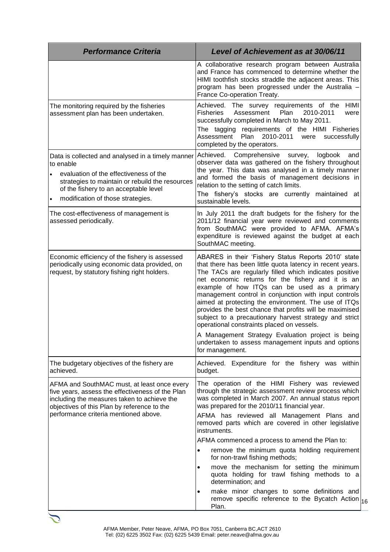| <b>Performance Criteria</b>                                                                                                                                                                                                               | <b>Level of Achievement as at 30/06/11</b>                                                                                                                                                                                                                                                                                                                                                                                                                                                                                                                          |
|-------------------------------------------------------------------------------------------------------------------------------------------------------------------------------------------------------------------------------------------|---------------------------------------------------------------------------------------------------------------------------------------------------------------------------------------------------------------------------------------------------------------------------------------------------------------------------------------------------------------------------------------------------------------------------------------------------------------------------------------------------------------------------------------------------------------------|
|                                                                                                                                                                                                                                           | A collaborative research program between Australia<br>and France has commenced to determine whether the<br>HIMI toothfish stocks straddle the adjacent areas. This<br>program has been progressed under the Australia -<br>France Co-operation Treaty.                                                                                                                                                                                                                                                                                                              |
| The monitoring required by the fisheries<br>assessment plan has been undertaken.                                                                                                                                                          | Achieved. The survey requirements of the HIMI<br><b>Fisheries</b><br>Assessment<br>Plan<br>2010-2011<br>were<br>successfully completed in March to May 2011.<br>The tagging requirements of the HIMI Fisheries<br>2010-2011<br>Assessment Plan<br>successfully<br>were<br>completed by the operators.                                                                                                                                                                                                                                                               |
| Data is collected and analysed in a timely manner<br>to enable<br>evaluation of the effectiveness of the<br>strategies to maintain or rebuild the resources<br>of the fishery to an acceptable level<br>modification of those strategies. | Achieved. Comprehensive<br>survey,<br>logbook<br>and<br>observer data was gathered on the fishery throughout<br>the year. This data was analysed in a timely manner<br>and formed the basis of management decisions in<br>relation to the setting of catch limits.<br>The fishery's stocks are currently maintained at<br>sustainable levels.                                                                                                                                                                                                                       |
| The cost-effectiveness of management is<br>assessed periodically.                                                                                                                                                                         | In July 2011 the draft budgets for the fishery for the<br>2011/12 financial year were reviewed and comments<br>from SouthMAC were provided to AFMA. AFMA's<br>expenditure is reviewed against the budget at each<br>SouthMAC meeting.                                                                                                                                                                                                                                                                                                                               |
| Economic efficiency of the fishery is assessed<br>periodically using economic data provided, on<br>request, by statutory fishing right holders.                                                                                           | ABARES in their 'Fishery Status Reports 2010' state<br>that there has been little quota latency in recent years.<br>The TACs are regularly filled which indicates positive<br>net economic returns for the fishery and it is an<br>example of how ITQs can be used as a primary<br>management control in conjunction with input controls<br>aimed at protecting the environment. The use of ITQs<br>provides the best chance that profits will be maximised<br>subject to a precautionary harvest strategy and strict<br>operational constraints placed on vessels. |
|                                                                                                                                                                                                                                           | A Management Strategy Evaluation project is being<br>undertaken to assess management inputs and options<br>for management.                                                                                                                                                                                                                                                                                                                                                                                                                                          |
| The budgetary objectives of the fishery are<br>achieved.                                                                                                                                                                                  | Achieved. Expenditure for the fishery was within<br>budget.                                                                                                                                                                                                                                                                                                                                                                                                                                                                                                         |
| AFMA and SouthMAC must, at least once every<br>five years, assess the effectiveness of the Plan<br>including the measures taken to achieve the<br>objectives of this Plan by reference to the<br>performance criteria mentioned above.    | The operation of the HIMI Fishery was reviewed<br>through the strategic assessment review process which<br>was completed in March 2007. An annual status report<br>was prepared for the 2010/11 financial year.<br>AFMA has reviewed all Management Plans and<br>removed parts which are covered in other legislative                                                                                                                                                                                                                                               |
|                                                                                                                                                                                                                                           | instruments.                                                                                                                                                                                                                                                                                                                                                                                                                                                                                                                                                        |
|                                                                                                                                                                                                                                           | AFMA commenced a process to amend the Plan to:<br>remove the minimum quota holding requirement<br>for non-trawl fishing methods;                                                                                                                                                                                                                                                                                                                                                                                                                                    |
|                                                                                                                                                                                                                                           | move the mechanism for setting the minimum<br>٠<br>quota holding for trawl fishing methods to a<br>determination; and                                                                                                                                                                                                                                                                                                                                                                                                                                               |
|                                                                                                                                                                                                                                           | make minor changes to some definitions and<br>$\bullet$<br>remove specific reference to the Bycatch Action 16                                                                                                                                                                                                                                                                                                                                                                                                                                                       |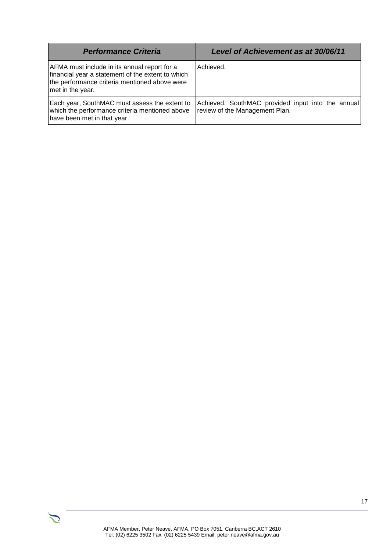| <b>Performance Criteria</b>                                                                                                                                            | <b>Level of Achievement as at 30/06/11</b>                                          |
|------------------------------------------------------------------------------------------------------------------------------------------------------------------------|-------------------------------------------------------------------------------------|
| AFMA must include in its annual report for a<br>financial year a statement of the extent to which<br>the performance criteria mentioned above were<br>met in the year. | Achieved.                                                                           |
| Each year, SouthMAC must assess the extent to<br>which the performance criteria mentioned above<br>have been met in that year.                                         | Achieved. SouthMAC provided input into the annual<br>review of the Management Plan. |



 $\mathcal{L}$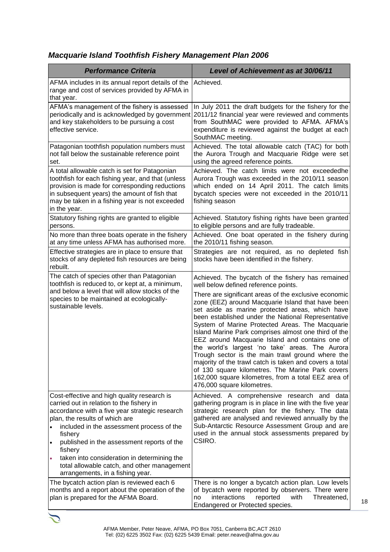## *Macquarie Island Toothfish Fishery Management Plan 2006*

| <b>Performance Criteria</b>                                                                                                                                                                                                                                                                                                                                                                                                                       | <b>Level of Achievement as at 30/06/11</b>                                                                                                                                                                                                                                                                                                                                                                                                                                                                                                                                                                                                                                                   |
|---------------------------------------------------------------------------------------------------------------------------------------------------------------------------------------------------------------------------------------------------------------------------------------------------------------------------------------------------------------------------------------------------------------------------------------------------|----------------------------------------------------------------------------------------------------------------------------------------------------------------------------------------------------------------------------------------------------------------------------------------------------------------------------------------------------------------------------------------------------------------------------------------------------------------------------------------------------------------------------------------------------------------------------------------------------------------------------------------------------------------------------------------------|
| AFMA includes in its annual report details of the<br>range and cost of services provided by AFMA in<br>that year.                                                                                                                                                                                                                                                                                                                                 | Achieved.                                                                                                                                                                                                                                                                                                                                                                                                                                                                                                                                                                                                                                                                                    |
| AFMA's management of the fishery is assessed<br>periodically and is acknowledged by government<br>and key stakeholders to be pursuing a cost<br>effective service.                                                                                                                                                                                                                                                                                | In July 2011 the draft budgets for the fishery for the<br>2011/12 financial year were reviewed and comments<br>from SouthMAC were provided to AFMA. AFMA's<br>expenditure is reviewed against the budget at each<br>SouthMAC meeting.                                                                                                                                                                                                                                                                                                                                                                                                                                                        |
| Patagonian toothfish population numbers must<br>not fall below the sustainable reference point<br>set.                                                                                                                                                                                                                                                                                                                                            | Achieved. The total allowable catch (TAC) for both<br>the Aurora Trough and Macquarie Ridge were set<br>using the agreed reference points.                                                                                                                                                                                                                                                                                                                                                                                                                                                                                                                                                   |
| A total allowable catch is set for Patagonian<br>toothfish for each fishing year, and that (unless<br>provision is made for corresponding reductions<br>in subsequent years) the amount of fish that<br>may be taken in a fishing year is not exceeded<br>in the year.                                                                                                                                                                            | Achieved. The catch limits were not exceededhe<br>Aurora Trough was exceeded in the 2010/11 season<br>which ended on 14 April 2011. The catch limits<br>bycatch species were not exceeded in the 2010/11<br>fishing season                                                                                                                                                                                                                                                                                                                                                                                                                                                                   |
| Statutory fishing rights are granted to eligible<br>persons.                                                                                                                                                                                                                                                                                                                                                                                      | Achieved. Statutory fishing rights have been granted<br>to eligible persons and are fully tradeable.                                                                                                                                                                                                                                                                                                                                                                                                                                                                                                                                                                                         |
| No more than three boats operate in the fishery<br>at any time unless AFMA has authorised more.                                                                                                                                                                                                                                                                                                                                                   | Achieved. One boat operated in the fishery during<br>the 2010/11 fishing season.                                                                                                                                                                                                                                                                                                                                                                                                                                                                                                                                                                                                             |
| Effective strategies are in place to ensure that<br>stocks of any depleted fish resources are being<br>rebuilt.                                                                                                                                                                                                                                                                                                                                   | Strategies are not required, as no depleted fish<br>stocks have been identified in the fishery.                                                                                                                                                                                                                                                                                                                                                                                                                                                                                                                                                                                              |
| The catch of species other than Patagonian<br>toothfish is reduced to, or kept at, a minimum,<br>and below a level that will allow stocks of the<br>species to be maintained at ecologically-<br>sustainable levels.                                                                                                                                                                                                                              | Achieved. The bycatch of the fishery has remained<br>well below defined reference points.                                                                                                                                                                                                                                                                                                                                                                                                                                                                                                                                                                                                    |
|                                                                                                                                                                                                                                                                                                                                                                                                                                                   | There are significant areas of the exclusive economic<br>zone (EEZ) around Macquarie Island that have been<br>set aside as marine protected areas, which have<br>been established under the National Representative<br>System of Marine Protected Areas. The Macquarie<br>Island Marine Park comprises almost one third of the<br>EEZ around Macquarie Island and contains one of<br>the world's largest 'no take' areas. The Aurora<br>Trough sector is the main trawl ground where the<br>majority of the trawl catch is taken and covers a total<br>of 130 square kilometres. The Marine Park covers<br>162,000 square kilometres, from a total EEZ area of<br>476,000 square kilometres. |
| Cost-effective and high quality research is<br>carried out in relation to the fishery in<br>accordance with a five year strategic research<br>plan, the results of which are<br>included in the assessment process of the<br>fishery<br>published in the assessment reports of the<br>$\bullet$<br>fishery<br>taken into consideration in determining the<br>۰<br>total allowable catch, and other management<br>arrangements, in a fishing year. | Achieved. A comprehensive research and data<br>gathering program is in place in line with the five year<br>strategic research plan for the fishery. The data<br>gathered are analysed and reviewed annually by the<br>Sub-Antarctic Resource Assessment Group and are<br>used in the annual stock assessments prepared by<br>CSIRO.                                                                                                                                                                                                                                                                                                                                                          |
| The bycatch action plan is reviewed each 6<br>months and a report about the operation of the<br>plan is prepared for the AFMA Board.                                                                                                                                                                                                                                                                                                              | There is no longer a bycatch action plan. Low levels<br>of bycatch were reported by observers. There were<br>interactions<br>reported<br>with<br>Threatened,<br>no<br>Endangered or Protected species.                                                                                                                                                                                                                                                                                                                                                                                                                                                                                       |

 $\tilde{C}$